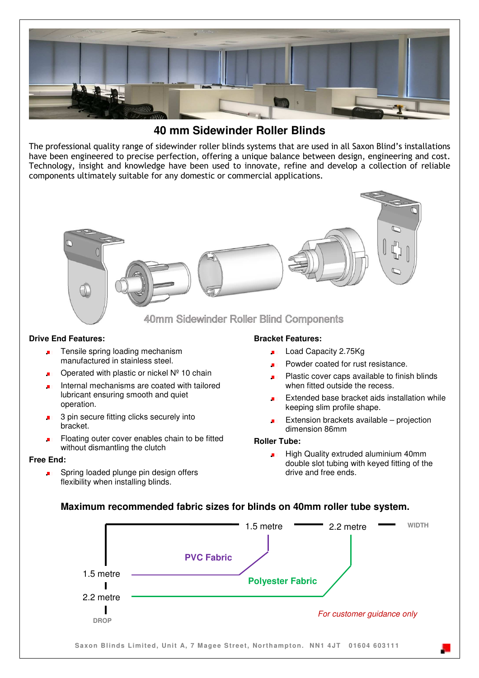

The professional quality range of sidewinder roller blinds systems that are used in all Saxon Blind's installations have been engineered to precise perfection, offering a unique balance between design, engineering and cost. Technology, insight and knowledge have been used to innovate, refine and develop a collection of reliable components ultimately suitable for any domestic or commercial applications.



#### **Drive End Features:**

- Tensile spring loading mechanism  $\mathbf{r}$ manufactured in stainless steel.
- Operated with plastic or nickel Nº 10 chain
- Internal mechanisms are coated with tailored lubricant ensuring smooth and quiet operation.
- 3 pin secure fitting clicks securely into bracket.
- Floating outer cover enables chain to be fitted without dismantling the clutch

#### **Free End:**

Spring loaded plunge pin design offers  $\mathbf{r}$ flexibility when installing blinds.

#### **Bracket Features:**

- Load Capacity 2.75Kg
- Powder coated for rust resistance.
- Plastic cover caps available to finish blinds when fitted outside the recess.
- Extended base bracket aids installation while keeping slim profile shape.
- Extension brackets available projection dimension 86mm

#### **Roller Tube:**

High Quality extruded aluminium 40mm  $\mathbf{R}^{\mathrm{max}}$ double slot tubing with keyed fitting of the drive and free ends.

### **Maximum recommended fabric sizes for blinds on 40mm roller tube system.**

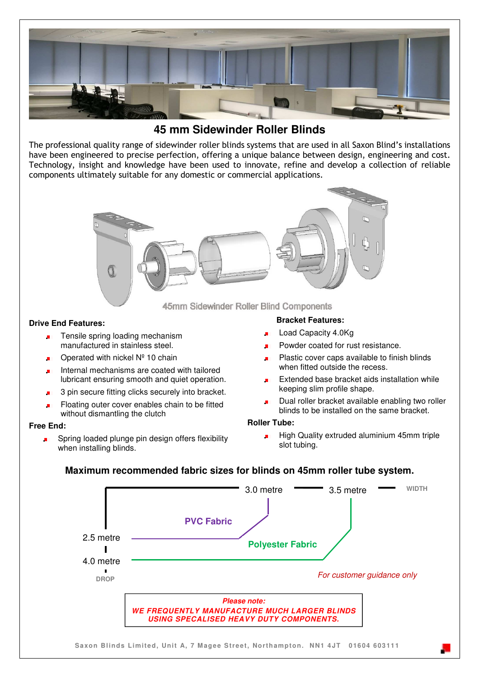

The professional quality range of sidewinder roller blinds systems that are used in all Saxon Blind's installations have been engineered to precise perfection, offering a unique balance between design, engineering and cost. Technology, insight and knowledge have been used to innovate, refine and develop a collection of reliable components ultimately suitable for any domestic or commercial applications.



45mm Sidewinder Roller Blind Components

#### **Drive End Features:**

- Tensile spring loading mechanism manufactured in stainless steel.
- Operated with nickel Nº 10 chain
- Internal mechanisms are coated with tailored lubricant ensuring smooth and quiet operation.
- 3 pin secure fitting clicks securely into bracket.
- Floating outer cover enables chain to be fitted without dismantling the clutch

#### **Free End:**

Spring loaded plunge pin design offers flexibility when installing blinds.

#### **Bracket Features:**

- Load Capacity 4.0Kg
- Powder coated for rust resistance.
- Plastic cover caps available to finish blinds  $\mathbf{u}$ when fitted outside the recess.
- Extended base bracket aids installation while keeping slim profile shape.
- Dual roller bracket available enabling two roller  $\mathbf{u}$ blinds to be installed on the same bracket.

#### **Roller Tube:**

High Quality extruded aluminium 45mm triple  $\mathbf{r}$ slot tubing.

### **Maximum recommended fabric sizes for blinds on 45mm roller tube system.**

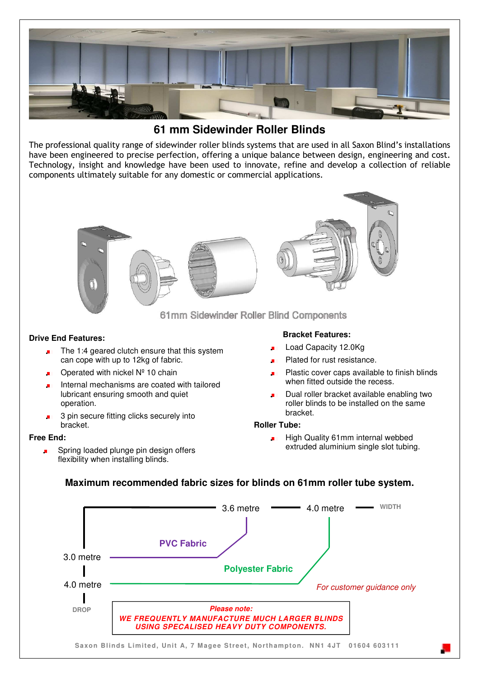

The professional quality range of sidewinder roller blinds systems that are used in all Saxon Blind's installations have been engineered to precise perfection, offering a unique balance between design, engineering and cost. Technology, insight and knowledge have been used to innovate, refine and develop a collection of reliable components ultimately suitable for any domestic or commercial applications.



#### **Drive End Features:**

- The 1:4 geared clutch ensure that this system  $\bullet$ can cope with up to 12kg of fabric.
- Operated with nickel Nº 10 chain
- Internal mechanisms are coated with tailored lubricant ensuring smooth and quiet operation.
- 3 pin secure fitting clicks securely into bracket.

#### **Free End:**

Spring loaded plunge pin design offers  $\mathbf{r}$ flexibility when installing blinds.

#### **Bracket Features:**

- Load Capacity 12.0Kg
- Plated for rust resistance.
- Plastic cover caps available to finish blinds when fitted outside the recess.
- Dual roller bracket available enabling two  $\bullet$ roller blinds to be installed on the same bracket.

#### **Roller Tube:**

- High Quality 61mm internal webbed  $\mathbf{u}$ extruded aluminium single slot tubing.
-